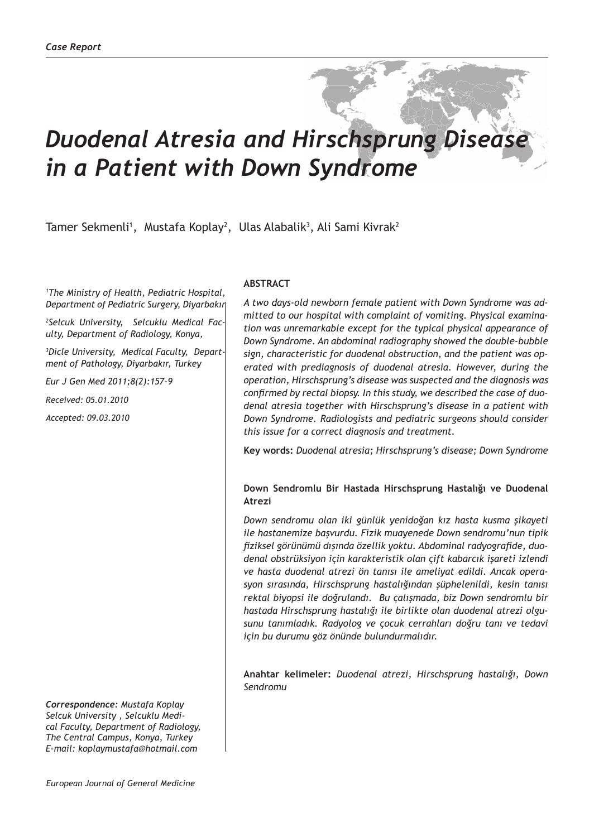# *Duodenal Atresia and Hirschsprung Disease in a Patient with Down Syndrome*

Tamer Sekmenli<sup>1</sup>, Mustafa Koplay<sup>2</sup>, Ulas Alabalik<sup>3</sup>, Ali Sami Kivrak<sup>2</sup>

*1 The Ministry of Health, Pediatric Hospital, Department of Pediatric Surgery, Diyarbakır* 

*2 Selcuk University, Selcuklu Medical Faculty, Department of Radiology, Konya,* 

*3 Dicle University, Medical Faculty, Department of Pathology, Diyarbakır, Turkey*

*Eur J Gen Med 2011;8(2):157-9*

*Received: 05.01.2010*

*Accepted: 09.03.2010*

*Correspondence: Mustafa Koplay Selcuk University , Selcuklu Medical Faculty, Department of Radiology, The Central Campus, Konya, Turkey E-mail: koplaymustafa@hotmail.com*

#### **ABSTRACT**

*A two days-old newborn female patient with Down Syndrome was admitted to our hospital with complaint of vomiting. Physical examination was unremarkable except for the typical physical appearance of Down Syndrome. An abdominal radiography showed the double-bubble sign, characteristic for duodenal obstruction, and the patient was operated with prediagnosis of duodenal atresia. However, during the operation, Hirschsprung's disease was suspected and the diagnosis was confirmed by rectal biopsy. In this study, we described the case of duodenal atresia together with Hirschsprung's disease in a patient with Down Syndrome. Radiologists and pediatric surgeons should consider this issue for a correct diagnosis and treatment.*

**Key words:** *Duodenal atresia; Hirschsprung's disease; Down Syndrome*

### **Down Sendromlu Bir Hastada Hirschsprung Hastalığı ve Duodenal Atrezi**

*Down sendromu olan iki günlük yenidoğan kız hasta kusma şikayeti ile hastanemize başvurdu. Fizik muayenede Down sendromu'nun tipik fiziksel görünümü dışında özellik yoktu. Abdominal radyografide, duodenal obstrüksiyon için karakteristik olan çift kabarcık işareti izlendi ve hasta duodenal atrezi ön tanısı ile ameliyat edildi. Ancak operasyon sırasında, Hirschsprung hastalığından şüphelenildi, kesin tanısı rektal biyopsi ile doğrulandı. Bu çalışmada, biz Down sendromlu bir hastada Hirschsprung hastalığı ile birlikte olan duodenal atrezi olgusunu tanımladık. Radyolog ve çocuk cerrahları doğru tanı ve tedavi için bu durumu göz önünde bulundurmalıdır.*

**Anahtar kelimeler:** *Duodenal atrezi, Hirschsprung hastalığı, Down Sendromu*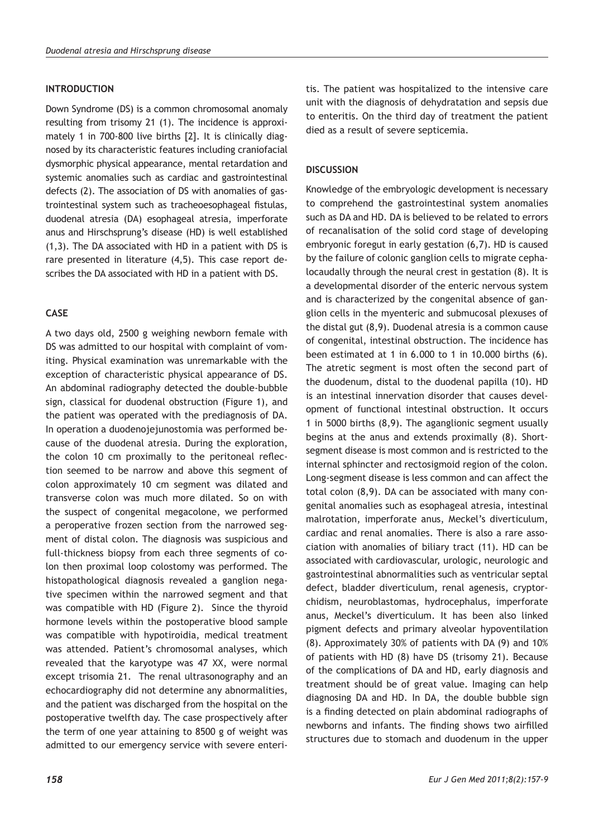#### **INTRODUCTION**

Down Syndrome (DS) is a common chromosomal anomaly resulting from trisomy 21 (1). The incidence is approximately 1 in 700-800 live births [2]. It is clinically diagnosed by its characteristic features including craniofacial dysmorphic physical appearance, mental retardation and systemic anomalies such as cardiac and gastrointestinal defects (2). The association of DS with anomalies of gastrointestinal system such as tracheoesophageal fistulas, duodenal atresia (DA) esophageal atresia, imperforate anus and Hirschsprung's disease (HD) is well established (1,3). The DA associated with HD in a patient with DS is rare presented in literature (4,5). This case report describes the DA associated with HD in a patient with DS.

## **CASE**

A two days old, 2500 g weighing newborn female with DS was admitted to our hospital with complaint of vomiting. Physical examination was unremarkable with the exception of characteristic physical appearance of DS. An abdominal radiography detected the double-bubble sign, classical for duodenal obstruction (Figure 1), and the patient was operated with the prediagnosis of DA. In operation a duodenojejunostomia was performed because of the duodenal atresia. During the exploration, the colon 10 cm proximally to the peritoneal reflection seemed to be narrow and above this segment of colon approximately 10 cm segment was dilated and transverse colon was much more dilated. So on with the suspect of congenital megacolone, we performed a peroperative frozen section from the narrowed segment of distal colon. The diagnosis was suspicious and full-thickness biopsy from each three segments of colon then proximal loop colostomy was performed. The histopathological diagnosis revealed a ganglion negative specimen within the narrowed segment and that was compatible with HD (Figure 2). Since the thyroid hormone levels within the postoperative blood sample was compatible with hypotiroidia, medical treatment was attended. Patient's chromosomal analyses, which revealed that the karyotype was 47 XX, were normal except trisomia 21. The renal ultrasonography and an echocardiography did not determine any abnormalities, and the patient was discharged from the hospital on the postoperative twelfth day. The case prospectively after the term of one year attaining to 8500 g of weight was admitted to our emergency service with severe enteritis. The patient was hospitalized to the intensive care unit with the diagnosis of dehydratation and sepsis due to enteritis. On the third day of treatment the patient died as a result of severe septicemia.

### **DISCUSSION**

Knowledge of the embryologic development is necessary to comprehend the gastrointestinal system anomalies such as DA and HD. DA is believed to be related to errors of recanalisation of the solid cord stage of developing embryonic foregut in early gestation (6,7). HD is caused by the failure of colonic ganglion cells to migrate cephalocaudally through the neural crest in gestation (8). It is a developmental disorder of the enteric nervous system and is characterized by the congenital absence of ganglion cells in the myenteric and submucosal plexuses of the distal gut (8,9). Duodenal atresia is a common cause of congenital, intestinal obstruction. The incidence has been estimated at 1 in 6.000 to 1 in 10.000 births (6). The atretic segment is most often the second part of the duodenum, distal to the duodenal papilla (10). HD is an intestinal innervation disorder that causes development of functional intestinal obstruction. It occurs 1 in 5000 births (8,9). The aganglionic segment usually begins at the anus and extends proximally (8). Shortsegment disease is most common and is restricted to the internal sphincter and rectosigmoid region of the colon. Long-segment disease is less common and can affect the total colon (8,9). DA can be associated with many congenital anomalies such as esophageal atresia, intestinal malrotation, imperforate anus, Meckel's diverticulum, cardiac and renal anomalies. There is also a rare association with anomalies of biliary tract (11). HD can be associated with cardiovascular, urologic, neurologic and gastrointestinal abnormalities such as ventricular septal defect, bladder diverticulum, renal agenesis, cryptorchidism, neuroblastomas, hydrocephalus, imperforate anus, Meckel's diverticulum. It has been also linked pigment defects and primary alveolar hypoventilation (8). Approximately 30% of patients with DA (9) and 10% of patients with HD (8) have DS (trisomy 21). Because of the complications of DA and HD, early diagnosis and treatment should be of great value. Imaging can help diagnosing DA and HD. In DA, the double bubble sign is a finding detected on plain abdominal radiographs of newborns and infants. The finding shows two airfilled structures due to stomach and duodenum in the upper